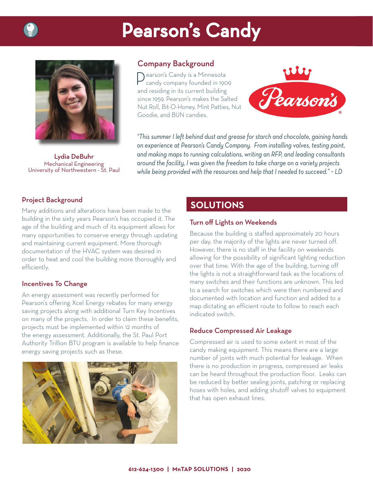# **Pearson's Candy**



Lydia DeBuhr Mechanical Engineering University of Northwestern - St. Paul

## Company Background

 $\bigcap$ earson's Candy is a Minnesota candy company founded in 1909 and residing in its current building since 1959. Pearson's makes the Salted Nut Roll, Bit-O-Honey, Mint Patties, Nut Goodie, and BUN candies.



*"This summer I left behind dust and grease for starch and chocolate, gaining hands on experience at Pearson's Candy Company. From installing valves, testing paint, and making maps to running calculations, writing an RFP, and leading consultants around the facility, I was given the freedom to take charge on a variety projects while being provided with the resources and help that I needed to succeed." ~ LD*

### Project Background

Many additions and alterations have been made to the building in the sixty years Pearson's has occupied it. The age of the building and much of its equipment allows for many opportunities to conserve energy through updating and maintaining current equipment. More thorough documentation of the HVAC system was desired in order to heat and cool the building more thoroughly and efficiently.

#### Incentives To Change

An energy assessment was recently performed for Pearson's offering Xcel Energy rebates for many energy saving projects along with additional Turn Key Incentives on many of the projects. In order to claim these benefits, projects must be implemented within 12 months of the energy assessment. Additionally, the St. Paul Port Authority Trillion BTU program is available to help finance energy saving projects such as these.



# **SOLUTIONS**

#### Turn off Lights on Weekends

Because the building is staffed approximately 20 hours per day, the majority of the lights are never turned off. However, there is no staff in the facility on weekends allowing for the possibility of significant lighting reduction over that time. With the age of the building, turning off the lights is not a straightforward task as the locations of many switches and their functions are unknown. This led to a search for switches which were then numbered and documented with location and function and added to a map dictating an efficient route to follow to reach each indicated switch.

#### Reduce Compressed Air Leakage

Compressed air is used to some extent in most of the candy making equipment. This means there are a large number of joints with much potential for leakage. When there is no production in progress, compressed air leaks can be heard throughout the production floor. Leaks can be reduced by better sealing joints, patching or replacing hoses with holes, and adding shutoff valves to equipment that has open exhaust lines.